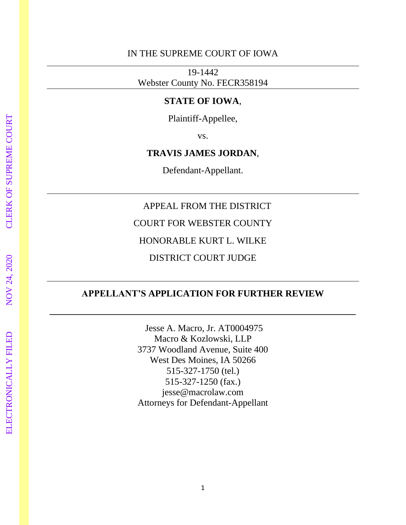### IN THE SUPREME COURT OF IOWA

19-1442 Webster County No. FECR358194

### **STATE OF IOWA**,

Plaintiff-Appellee,

vs.

### **TRAVIS JAMES JORDAN**,

Defendant-Appellant.

### APPEAL FROM THE DISTRICT

COURT FOR WEBSTER COUNTY

HONORABLE KURT L. WILKE

### DISTRICT COURT JUDGE

### **APPELLANT'S APPLICATION FOR FURTHER REVIEW**

**\_\_\_\_\_\_\_\_\_\_\_\_\_\_\_\_\_\_\_\_\_\_\_\_\_\_\_\_\_\_\_\_\_\_\_\_\_\_\_\_\_\_\_\_\_\_\_\_\_\_\_\_\_\_\_\_\_\_\_\_\_\_\_\_\_\_**

Jesse A. Macro, Jr. AT0004975 Macro & Kozlowski, LLP 3737 Woodland Avenue, Suite 400 West Des Moines, IA 50266 515-327-1750 (tel.) 515-327-1250 (fax.) jesse@macrolaw.com Attorneys for Defendant-Appellant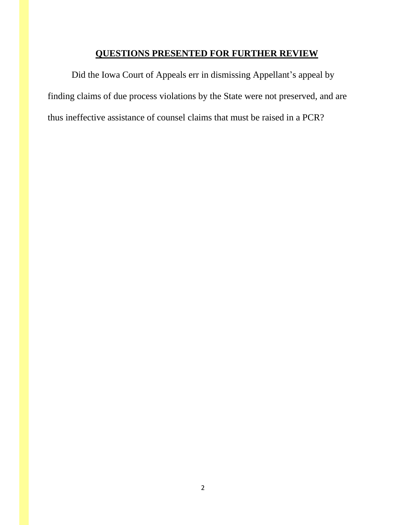### **QUESTIONS PRESENTED FOR FURTHER REVIEW**

Did the Iowa Court of Appeals err in dismissing Appellant's appeal by finding claims of due process violations by the State were not preserved, and are thus ineffective assistance of counsel claims that must be raised in a PCR?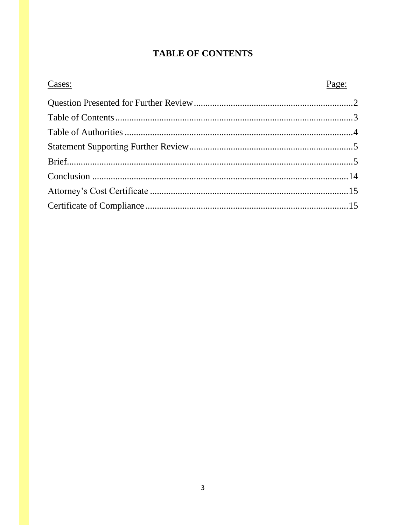### **TABLE OF CONTENTS**

| Cases: | Page: |
|--------|-------|
|        |       |
|        |       |
|        |       |
|        |       |
|        |       |
|        |       |
|        |       |
|        |       |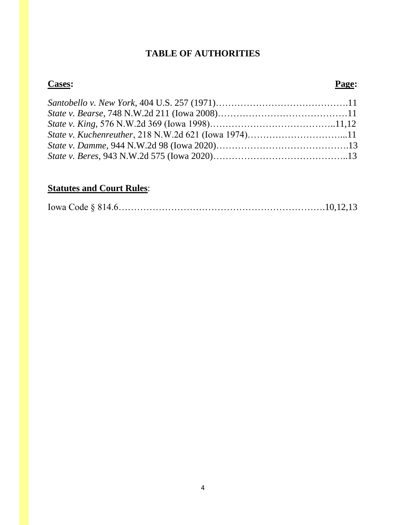### **TABLE OF AUTHORITIES**

### **Cases: Page:**

## **Statutes and Court Rules**: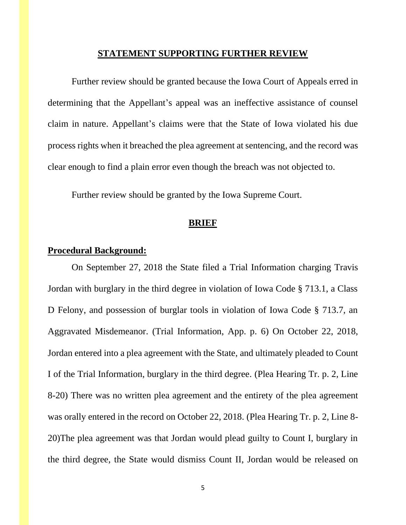#### **STATEMENT SUPPORTING FURTHER REVIEW**

Further review should be granted because the Iowa Court of Appeals erred in determining that the Appellant's appeal was an ineffective assistance of counsel claim in nature. Appellant's claims were that the State of Iowa violated his due process rights when it breached the plea agreement at sentencing, and the record was clear enough to find a plain error even though the breach was not objected to.

Further review should be granted by the Iowa Supreme Court.

#### **BRIEF**

#### **Procedural Background:**

On September 27, 2018 the State filed a Trial Information charging Travis Jordan with burglary in the third degree in violation of Iowa Code § 713.1, a Class D Felony, and possession of burglar tools in violation of Iowa Code § 713.7, an Aggravated Misdemeanor. (Trial Information, App. p. 6) On October 22, 2018, Jordan entered into a plea agreement with the State, and ultimately pleaded to Count I of the Trial Information, burglary in the third degree. (Plea Hearing Tr. p. 2, Line 8-20) There was no written plea agreement and the entirety of the plea agreement was orally entered in the record on October 22, 2018. (Plea Hearing Tr. p. 2, Line 8- 20)The plea agreement was that Jordan would plead guilty to Count I, burglary in the third degree, the State would dismiss Count II, Jordan would be released on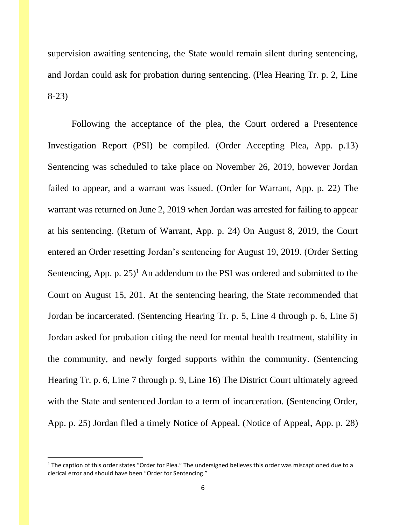supervision awaiting sentencing, the State would remain silent during sentencing, and Jordan could ask for probation during sentencing. (Plea Hearing Tr. p. 2, Line 8-23)

Following the acceptance of the plea, the Court ordered a Presentence Investigation Report (PSI) be compiled. (Order Accepting Plea, App. p.13) Sentencing was scheduled to take place on November 26, 2019, however Jordan failed to appear, and a warrant was issued. (Order for Warrant, App. p. 22) The warrant was returned on June 2, 2019 when Jordan was arrested for failing to appear at his sentencing. (Return of Warrant, App. p. 24) On August 8, 2019, the Court entered an Order resetting Jordan's sentencing for August 19, 2019. (Order Setting Sentencing, App. p.  $25$ <sup>1</sup> An addendum to the PSI was ordered and submitted to the Court on August 15, 201. At the sentencing hearing, the State recommended that Jordan be incarcerated. (Sentencing Hearing Tr. p. 5, Line 4 through p. 6, Line 5) Jordan asked for probation citing the need for mental health treatment, stability in the community, and newly forged supports within the community. (Sentencing Hearing Tr. p. 6, Line 7 through p. 9, Line 16) The District Court ultimately agreed with the State and sentenced Jordan to a term of incarceration. (Sentencing Order, App. p. 25) Jordan filed a timely Notice of Appeal. (Notice of Appeal, App. p. 28)

 $1$  The caption of this order states "Order for Plea." The undersigned believes this order was miscaptioned due to a clerical error and should have been "Order for Sentencing."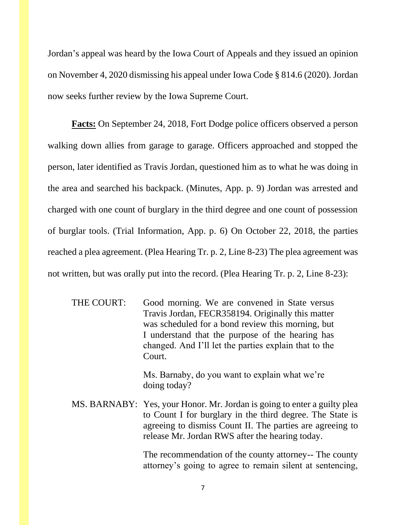Jordan's appeal was heard by the Iowa Court of Appeals and they issued an opinion on November 4, 2020 dismissing his appeal under Iowa Code § 814.6 (2020). Jordan now seeks further review by the Iowa Supreme Court.

**Facts:** On September 24, 2018, Fort Dodge police officers observed a person walking down allies from garage to garage. Officers approached and stopped the person, later identified as Travis Jordan, questioned him as to what he was doing in the area and searched his backpack. (Minutes, App. p. 9) Jordan was arrested and charged with one count of burglary in the third degree and one count of possession of burglar tools. (Trial Information, App. p. 6) On October 22, 2018, the parties reached a plea agreement. (Plea Hearing Tr. p. 2, Line 8-23) The plea agreement was not written, but was orally put into the record. (Plea Hearing Tr. p. 2, Line 8-23):

| Good morning. We are convened in State versus         |
|-------------------------------------------------------|
| Travis Jordan, FECR358194. Originally this matter     |
| was scheduled for a bond review this morning, but     |
| I understand that the purpose of the hearing has      |
| changed. And I'll let the parties explain that to the |
| Court.                                                |
|                                                       |

Ms. Barnaby, do you want to explain what we're doing today?

MS. BARNABY: Yes, your Honor. Mr. Jordan is going to enter a guilty plea to Count I for burglary in the third degree. The State is agreeing to dismiss Count II. The parties are agreeing to release Mr. Jordan RWS after the hearing today.

> The recommendation of the county attorney-- The county attorney's going to agree to remain silent at sentencing,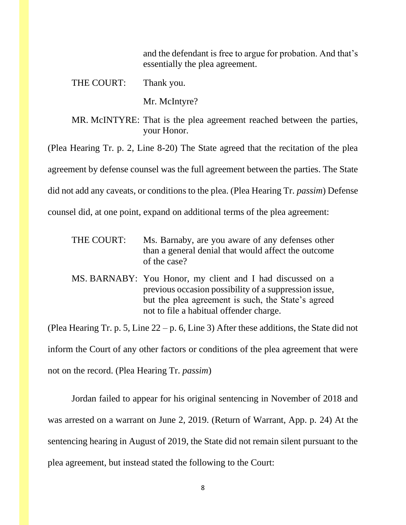and the defendant is free to argue for probation. And that's essentially the plea agreement.

THE COURT: Thank you.

Mr. McIntyre?

MR. McINTYRE: That is the plea agreement reached between the parties, your Honor.

(Plea Hearing Tr. p. 2, Line 8-20) The State agreed that the recitation of the plea

agreement by defense counsel was the full agreement between the parties. The State

did not add any caveats, or conditions to the plea. (Plea Hearing Tr. *passim*) Defense

counsel did, at one point, expand on additional terms of the plea agreement:

- THE COURT: Ms. Barnaby, are you aware of any defenses other than a general denial that would affect the outcome of the case?
- MS. BARNABY: You Honor, my client and I had discussed on a previous occasion possibility of a suppression issue, but the plea agreement is such, the State's agreed not to file a habitual offender charge.

(Plea Hearing Tr. p. 5, Line 22 – p. 6, Line 3) After these additions, the State did not inform the Court of any other factors or conditions of the plea agreement that were not on the record. (Plea Hearing Tr. *passim*)

Jordan failed to appear for his original sentencing in November of 2018 and was arrested on a warrant on June 2, 2019. (Return of Warrant, App. p. 24) At the sentencing hearing in August of 2019, the State did not remain silent pursuant to the plea agreement, but instead stated the following to the Court: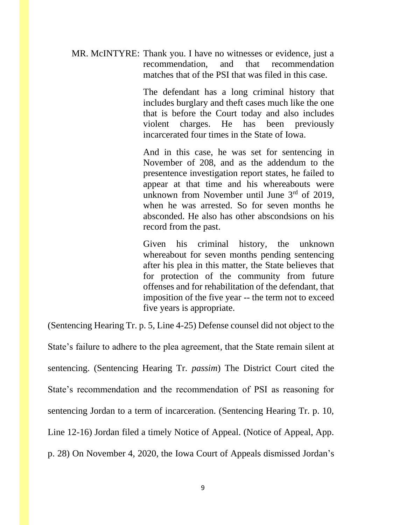MR. McINTYRE: Thank you. I have no witnesses or evidence, just a recommendation, and that recommendation matches that of the PSI that was filed in this case.

> The defendant has a long criminal history that includes burglary and theft cases much like the one that is before the Court today and also includes violent charges. He has been previously incarcerated four times in the State of Iowa.

> And in this case, he was set for sentencing in November of 208, and as the addendum to the presentence investigation report states, he failed to appear at that time and his whereabouts were unknown from November until June  $3<sup>rd</sup>$  of 2019, when he was arrested. So for seven months he absconded. He also has other abscondsions on his record from the past.

> Given his criminal history, the unknown whereabout for seven months pending sentencing after his plea in this matter, the State believes that for protection of the community from future offenses and for rehabilitation of the defendant, that imposition of the five year -- the term not to exceed five years is appropriate.

(Sentencing Hearing Tr. p. 5, Line 4-25) Defense counsel did not object to the

State's failure to adhere to the plea agreement, that the State remain silent at sentencing. (Sentencing Hearing Tr. *passim*) The District Court cited the State's recommendation and the recommendation of PSI as reasoning for sentencing Jordan to a term of incarceration. (Sentencing Hearing Tr. p. 10, Line 12-16) Jordan filed a timely Notice of Appeal. (Notice of Appeal, App. p. 28) On November 4, 2020, the Iowa Court of Appeals dismissed Jordan's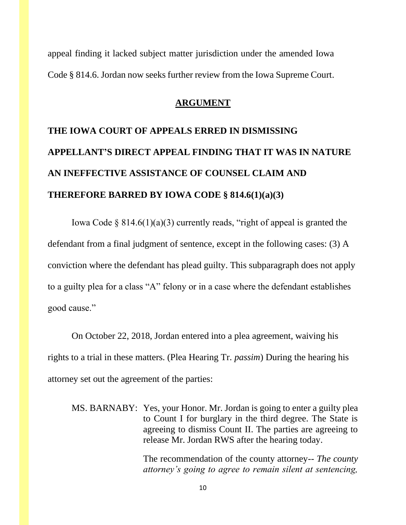appeal finding it lacked subject matter jurisdiction under the amended Iowa Code § 814.6. Jordan now seeks further review from the Iowa Supreme Court.

### **ARGUMENT**

# **THE IOWA COURT OF APPEALS ERRED IN DISMISSING APPELLANT'S DIRECT APPEAL FINDING THAT IT WAS IN NATURE AN INEFFECTIVE ASSISTANCE OF COUNSEL CLAIM AND THEREFORE BARRED BY IOWA CODE § 814.6(1)(a)(3)**

Iowa Code  $\S 814.6(1)(a)(3)$  currently reads, "right of appeal is granted the defendant from a final judgment of sentence, except in the following cases: (3) A conviction where the defendant has plead guilty. This subparagraph does not apply to a guilty plea for a class "A" felony or in a case where the defendant establishes good cause."

On October 22, 2018, Jordan entered into a plea agreement, waiving his rights to a trial in these matters. (Plea Hearing Tr. *passim*) During the hearing his attorney set out the agreement of the parties:

MS. BARNABY: Yes, your Honor. Mr. Jordan is going to enter a guilty plea to Count I for burglary in the third degree. The State is agreeing to dismiss Count II. The parties are agreeing to release Mr. Jordan RWS after the hearing today.

> The recommendation of the county attorney-- *The county attorney's going to agree to remain silent at sentencing,*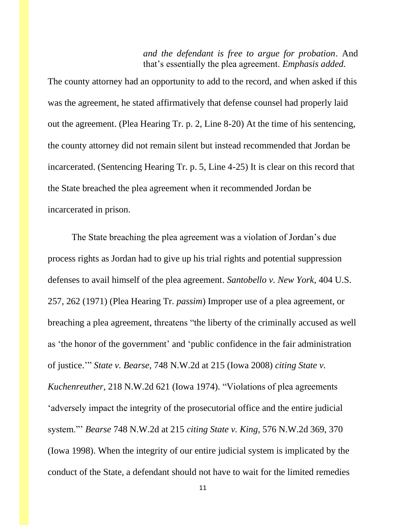*and the defendant is free to argue for probation*. And that's essentially the plea agreement. *Emphasis added.*

The county attorney had an opportunity to add to the record, and when asked if this was the agreement, he stated affirmatively that defense counsel had properly laid out the agreement. (Plea Hearing Tr. p. 2, Line 8-20) At the time of his sentencing, the county attorney did not remain silent but instead recommended that Jordan be incarcerated. (Sentencing Hearing Tr. p. 5, Line 4-25) It is clear on this record that the State breached the plea agreement when it recommended Jordan be incarcerated in prison.

The State breaching the plea agreement was a violation of Jordan's due process rights as Jordan had to give up his trial rights and potential suppression defenses to avail himself of the plea agreement. *Santobello v. New York*, 404 U.S. 257, 262 (1971) (Plea Hearing Tr. *passim*) Improper use of a plea agreement, or breaching a plea agreement, threatens "the liberty of the criminally accused as well as 'the honor of the government' and 'public confidence in the fair administration of justice.'" *State v. Bearse,* 748 N.W.2d at 215 (Iowa 2008) *citing State v. Kuchenreuther*, 218 N.W.2d 621 (Iowa 1974). "Violations of plea agreements 'adversely impact the integrity of the prosecutorial office and the entire judicial system."' *Bearse* 748 N.W.2d at 215 *citing State v. King,* 576 N.W.2d 369, 370 (Iowa 1998). When the integrity of our entire judicial system is implicated by the conduct of the State, a defendant should not have to wait for the limited remedies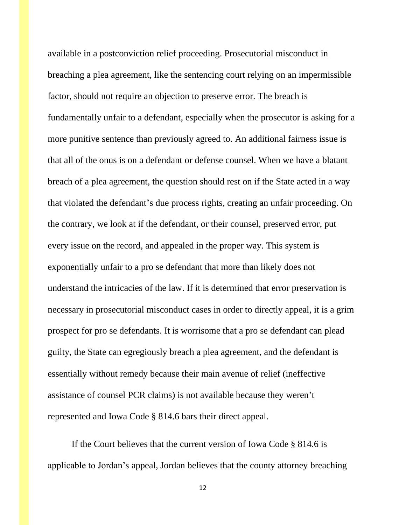available in a postconviction relief proceeding. Prosecutorial misconduct in breaching a plea agreement, like the sentencing court relying on an impermissible factor, should not require an objection to preserve error. The breach is fundamentally unfair to a defendant, especially when the prosecutor is asking for a more punitive sentence than previously agreed to. An additional fairness issue is that all of the onus is on a defendant or defense counsel. When we have a blatant breach of a plea agreement, the question should rest on if the State acted in a way that violated the defendant's due process rights, creating an unfair proceeding. On the contrary, we look at if the defendant, or their counsel, preserved error, put every issue on the record, and appealed in the proper way. This system is exponentially unfair to a pro se defendant that more than likely does not understand the intricacies of the law. If it is determined that error preservation is necessary in prosecutorial misconduct cases in order to directly appeal, it is a grim prospect for pro se defendants. It is worrisome that a pro se defendant can plead guilty, the State can egregiously breach a plea agreement, and the defendant is essentially without remedy because their main avenue of relief (ineffective assistance of counsel PCR claims) is not available because they weren't represented and Iowa Code § 814.6 bars their direct appeal.

If the Court believes that the current version of Iowa Code § 814.6 is applicable to Jordan's appeal, Jordan believes that the county attorney breaching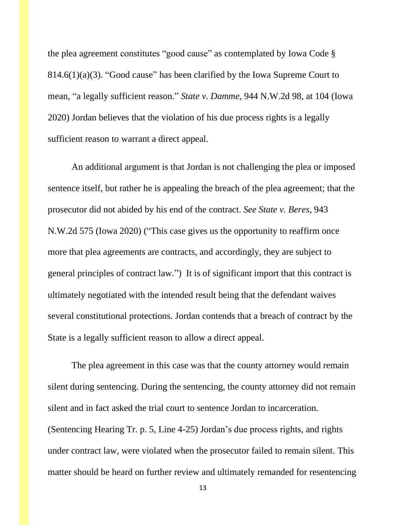the plea agreement constitutes "good cause" as contemplated by Iowa Code § 814.6(1)(a)(3). "Good cause" has been clarified by the Iowa Supreme Court to mean, "a legally sufficient reason." *State v. Damme,* 944 N.W.2d 98, at 104 (Iowa 2020) Jordan believes that the violation of his due process rights is a legally sufficient reason to warrant a direct appeal.

An additional argument is that Jordan is not challenging the plea or imposed sentence itself, but rather he is appealing the breach of the plea agreement; that the prosecutor did not abided by his end of the contract. *See State v. Beres*, 943 N.W.2d 575 (Iowa 2020) ("This case gives us the opportunity to reaffirm once more that plea agreements are contracts, and accordingly, they are subject to general principles of contract law.") It is of significant import that this contract is ultimately negotiated with the intended result being that the defendant waives several constitutional protections. Jordan contends that a breach of contract by the State is a legally sufficient reason to allow a direct appeal.

The plea agreement in this case was that the county attorney would remain silent during sentencing. During the sentencing, the county attorney did not remain silent and in fact asked the trial court to sentence Jordan to incarceration. (Sentencing Hearing Tr. p. 5, Line 4-25) Jordan's due process rights, and rights under contract law, were violated when the prosecutor failed to remain silent. This matter should be heard on further review and ultimately remanded for resentencing

13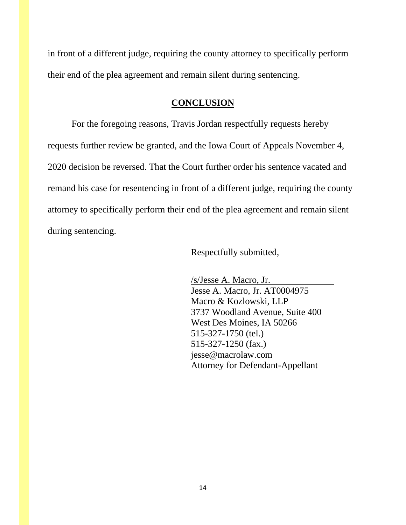in front of a different judge, requiring the county attorney to specifically perform their end of the plea agreement and remain silent during sentencing.

### **CONCLUSION**

For the foregoing reasons, Travis Jordan respectfully requests hereby requests further review be granted, and the Iowa Court of Appeals November 4, 2020 decision be reversed. That the Court further order his sentence vacated and remand his case for resentencing in front of a different judge, requiring the county attorney to specifically perform their end of the plea agreement and remain silent during sentencing.

Respectfully submitted,

/s/Jesse A. Macro, Jr. Jesse A. Macro, Jr. AT0004975 Macro & Kozlowski, LLP 3737 Woodland Avenue, Suite 400 West Des Moines, IA 50266 515-327-1750 (tel.) 515-327-1250 (fax.) jesse@macrolaw.com Attorney for Defendant-Appellant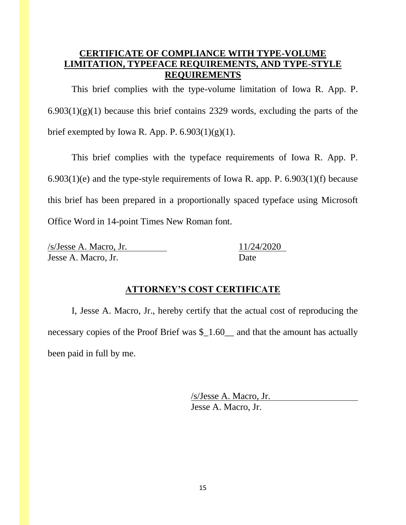### **CERTIFICATE OF COMPLIANCE WITH TYPE-VOLUME LIMITATION, TYPEFACE REQUIREMENTS, AND TYPE-STYLE REQUIREMENTS**

This brief complies with the type-volume limitation of Iowa R. App. P.  $6.903(1)(g)(1)$  because this brief contains 2329 words, excluding the parts of the brief exempted by Iowa R. App. P.  $6.903(1)(g)(1)$ .

This brief complies with the typeface requirements of Iowa R. App. P.  $6.903(1)(e)$  and the type-style requirements of Iowa R. app. P.  $6.903(1)(f)$  because this brief has been prepared in a proportionally spaced typeface using Microsoft Office Word in 14-point Times New Roman font.

/s/Jesse A. Macro, Jr. 11/24/2020 Jesse A. Macro, Jr. Date

### **ATTORNEY'S COST CERTIFICATE**

I, Jesse A. Macro, Jr., hereby certify that the actual cost of reproducing the necessary copies of the Proof Brief was \$\_1.60\_\_ and that the amount has actually been paid in full by me.

> /s/Jesse A. Macro, Jr. Jesse A. Macro, Jr.